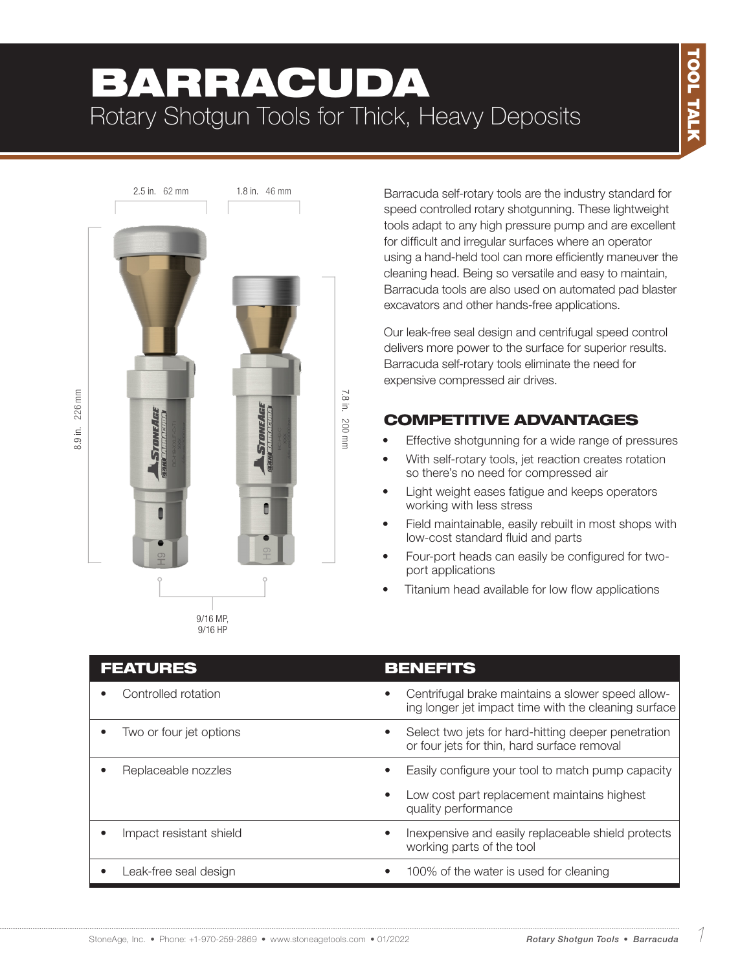# BARRACUDA Rotary Shotgun Tools for Thick, Heavy Deposits



Barracuda self-rotary tools are the industry standard for speed controlled rotary shotgunning. These lightweight tools adapt to any high pressure pump and are excellent for difficult and irregular surfaces where an operator using a hand-held tool can more efficiently maneuver the cleaning head. Being so versatile and easy to maintain, Barracuda tools are also used on automated pad blaster excavators and other hands-free applications.

Our leak-free seal design and centrifugal speed control delivers more power to the surface for superior results. Barracuda self-rotary tools eliminate the need for expensive compressed air drives.

## COMPETITIVE ADVANTAGES

- Effective shotgunning for a wide range of pressures
- With self-rotary tools, jet reaction creates rotation so there's no need for compressed air
- Light weight eases fatigue and keeps operators working with less stress
- Field maintainable, easily rebuilt in most shops with low-cost standard fluid and parts
- Four-port heads can easily be configured for twoport applications
- Titanium head available for low flow applications

| <b>FEATURES</b>         | <b>BENEFITS</b>                                                                                                        |
|-------------------------|------------------------------------------------------------------------------------------------------------------------|
| Controlled rotation     | Centrifugal brake maintains a slower speed allow-<br>$\bullet$<br>ing longer jet impact time with the cleaning surface |
| Two or four jet options | Select two jets for hard-hitting deeper penetration<br>$\bullet$<br>or four jets for thin, hard surface removal        |
| Replaceable nozzles     | Easily configure your tool to match pump capacity<br>$\bullet$                                                         |
|                         | Low cost part replacement maintains highest<br>$\bullet$<br>quality performance                                        |
| Impact resistant shield | In expensive and easily replaceable shield protects<br>working parts of the tool                                       |
| Leak-free seal design   | 100% of the water is used for cleaning<br>$\bullet$                                                                    |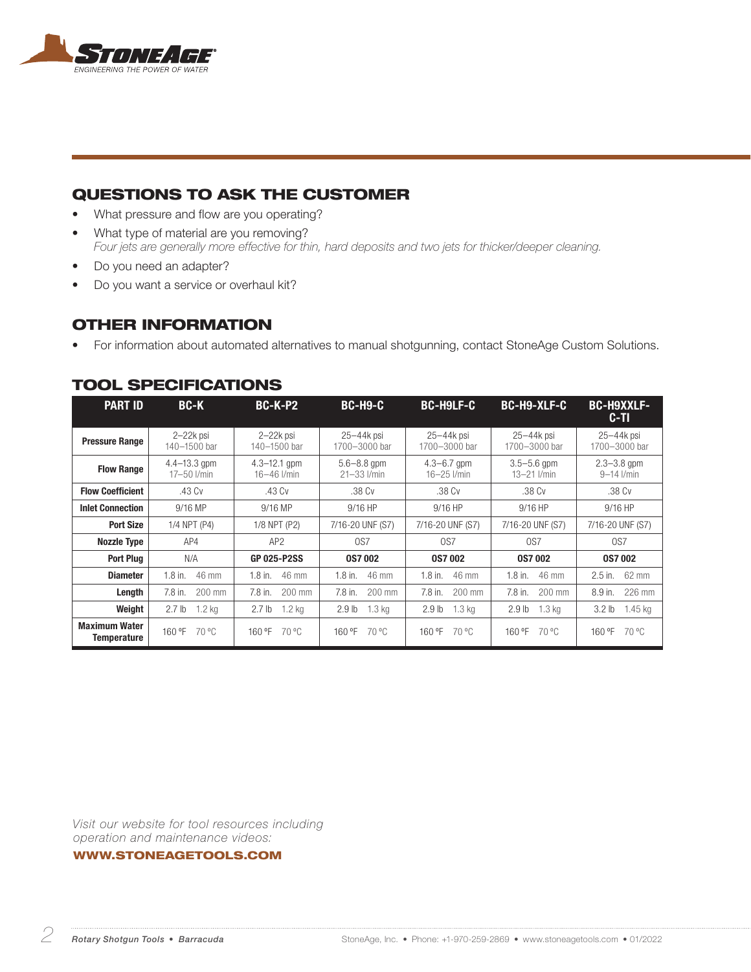

### QUESTIONS TO ASK THE CUSTOMER

- What pressure and flow are you operating?
- What type of material are you removing? *Four jets are generally more effective for thin, hard deposits and two jets for thicker/deeper cleaning.*
- Do you need an adapter?
- Do you want a service or overhaul kit?

#### OTHER INFORMATION

• For information about automated alternatives to manual shotgunning, contact StoneAge Custom Solutions.

| <b>PART ID</b>          | <b>BC-K</b>       | <b>BC-K-P2</b>     | <b>BC-H9-C</b>    | <b>BC-H9LF-C</b>  | <b>BC-H9-XLF-C</b> | <b>BC-H9XXLF-</b><br>C-TI |
|-------------------------|-------------------|--------------------|-------------------|-------------------|--------------------|---------------------------|
| <b>Pressure Range</b>   | $2 - 22k$ psi     | $2-22k$ psi        | 25-44k psi        | 25-44k psi        | 25-44k psi         | $25 - 44k$ psi            |
|                         | 140-1500 bar      | 140-1500 bar       | 1700-3000 bar     | 1700-3000 bar     | 1700-3000 bar      | 1700-3000 bar             |
| <b>Flow Range</b>       | $4.4 - 13.3$ gpm  | $4.3 - 12.1$ gpm   | $5.6 - 8.8$ gpm   | $4.3 - 6.7$ gpm   | $3.5 - 5.6$ gpm    | $2.3 - 3.8$ gpm           |
|                         | 17-50 l/min       | $16 - 46$ I/min    | $21 - 33$ $l/min$ | 16-25 l/min       | $13 - 21$ I/min    | $9 - 14$ I/min            |
| <b>Flow Coefficient</b> | .43 Cv            | .43 Cv             | .38 Cv            | .38 Cv            | .38 Cv             | .38 Cv                    |
| <b>Inlet Connection</b> | 9/16 MP           | 9/16 MP            | 9/16 HP           | 9/16 HP           | $9/16$ HP          | $9/16$ HP                 |
| <b>Port Size</b>        | 1/4 NPT (P4)      | 1/8 NPT (P2)       | 7/16-20 UNF (S7)  | 7/16-20 UNF (S7)  | 7/16-20 UNF (S7)   | 7/16-20 UNF (S7)          |
| <b>Nozzle Type</b>      | AP4               | AP <sub>2</sub>    | OS7               | 0S <sub>7</sub>   | OS7                | OS7                       |
| <b>Port Plug</b>        | N/A               | <b>GP 025-P2SS</b> | <b>0S7002</b>     | <b>0S7002</b>     | <b>0S7002</b>      | <b>0S7002</b>             |
| <b>Diameter</b>         | 46 mm             | 46 mm              | 46 mm             | $1.8$ in.         | 46 mm              | 62 mm                     |
|                         | $1.8$ in.         | $1.8$ in.          | $1.8$ in.         | 46 mm             | $1.8$ in.          | $2.5$ in.                 |
| Length                  | $200$ mm          | 7.8 in.            | $7.8$ in.         | 7.8 in.           | 7.8 in.            | 8.9 in.                   |
|                         | $7.8$ in.         | 200 mm             | $200$ mm          | $200$ mm          | 200 mm             | 226 mm                    |
| Weight                  | $1.2$ kg          | 2.7 <sub>lb</sub>  | 1.3 <sub>kq</sub> | 1.3 <sub>kg</sub> | 2.9 <sub>lb</sub>  | 3.2 <sub>lb</sub>         |
|                         | 2.7 <sub>lb</sub> | $1.2$ kg           | 2.9 <sub>lb</sub> | 2.9 <sub>lb</sub> | 1.3 <sub>kg</sub>  | $1.45$ kg                 |
| <b>Maximum Water</b>    | 70 °C             | 160 °F             | 160 °F            | 160 °F            | 70 °C              | 70 °C                     |
| <b>Temperature</b>      | 160 °F            | 70 °C              | 70 °C             | 70 °C             | 160 °F             | 160 °F                    |

#### TOOL SPECIFICATIONS

*Visit our website for tool resources including operation and maintenance videos:* 

WWW.STONEAGETOOLS.COM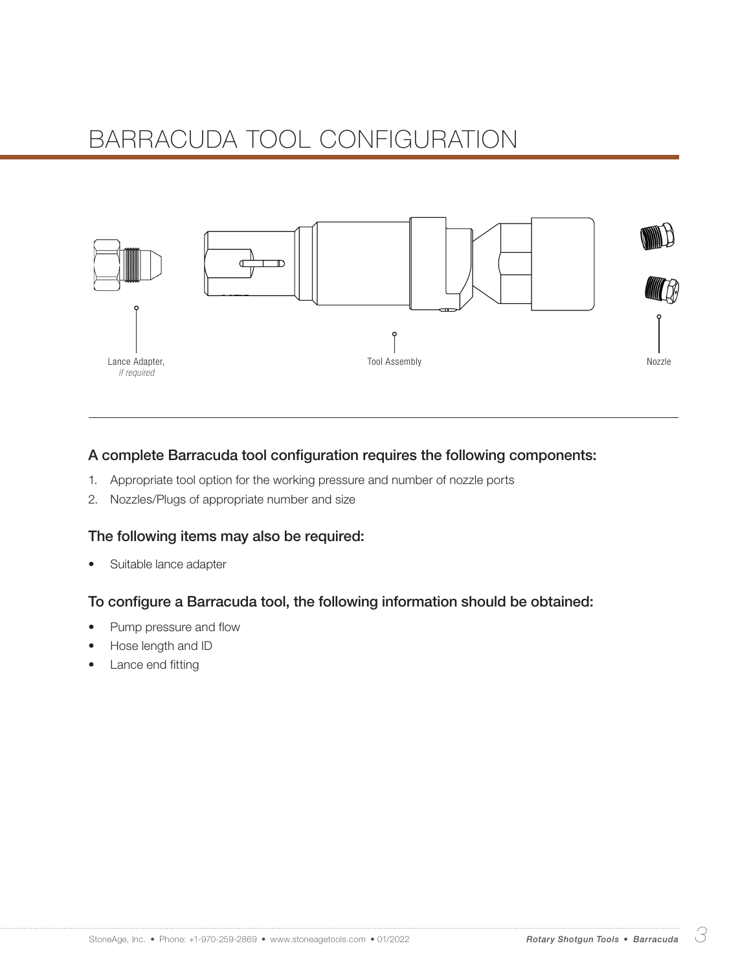# BARRACUDA TOOL CONFIGURATION



#### A complete Barracuda tool configuration requires the following components:

- 1. Appropriate tool option for the working pressure and number of nozzle ports
- 2. Nozzles/Plugs of appropriate number and size

#### The following items may also be required:

• Suitable lance adapter

#### To configure a Barracuda tool, the following information should be obtained:

- Pump pressure and flow
- Hose length and ID
- Lance end fitting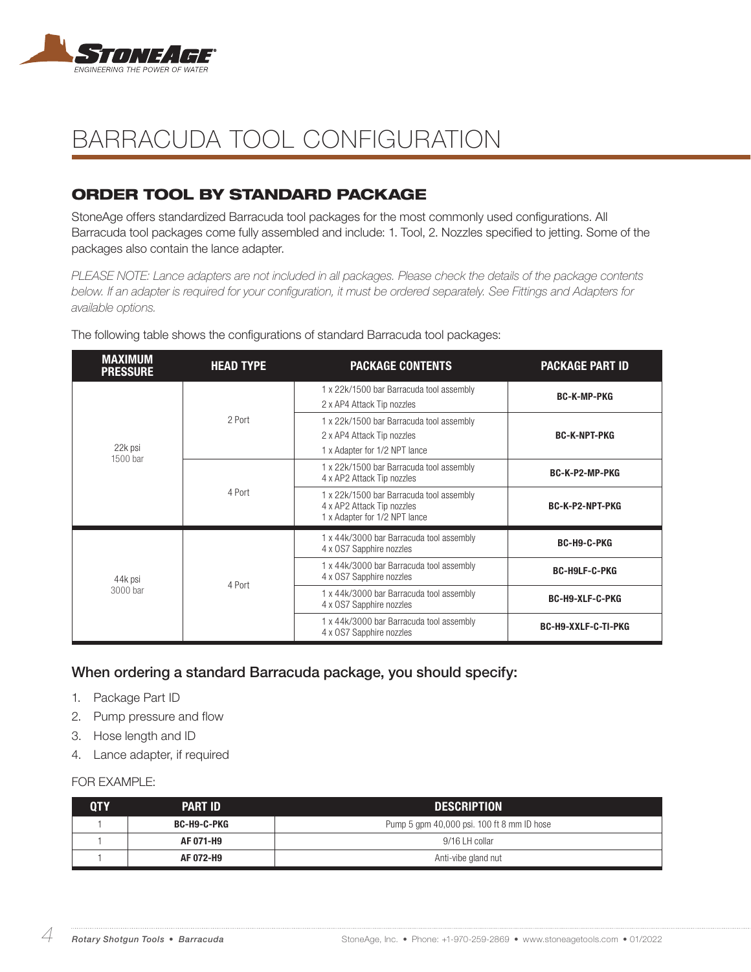

## BARRACUDA TOOL CONFIGURATION

## ORDER TOOL BY STANDARD PACKAGE

StoneAge offers standardized Barracuda tool packages for the most commonly used configurations. All Barracuda tool packages come fully assembled and include: 1. Tool, 2. Nozzles specified to jetting. Some of the packages also contain the lance adapter.

*PLEASE NOTE: Lance adapters are not included in all packages. Please check the details of the package contents below. If an adapter is required for your configuration, it must be ordered separately. See Fittings and Adapters for available options.*

| <b>MAXIMUM</b><br><b>PRESSURE</b> | <b>HEAD TYPE</b> | <b>PACKAGE CONTENTS</b>                                                                                 | <b>PACKAGE PART ID</b>     |
|-----------------------------------|------------------|---------------------------------------------------------------------------------------------------------|----------------------------|
| 22k psi<br>1500 bar               |                  | 1 x 22k/1500 bar Barracuda tool assembly<br>2 x AP4 Attack Tip nozzles                                  | <b>BC-K-MP-PKG</b>         |
|                                   | 2 Port           | 1 x 22k/1500 bar Barracuda tool assembly<br>2 x AP4 Attack Tip nozzles<br>1 x Adapter for 1/2 NPT lance | <b>BC-K-NPT-PKG</b>        |
|                                   |                  | 1 x 22k/1500 bar Barracuda tool assembly<br>4 x AP2 Attack Tip nozzles                                  | BC-K-P2-MP-PKG             |
|                                   | 4 Port           | 1 x 22k/1500 bar Barracuda tool assembly<br>4 x AP2 Attack Tip nozzles<br>1 x Adapter for 1/2 NPT lance | <b>BC-K-P2-NPT-PKG</b>     |
| 44k psi<br>3000 bar               | 4 Port           | 1 x 44k/3000 bar Barracuda tool assembly<br>4 x OS7 Sapphire nozzles                                    | BC-H9-C-PKG                |
|                                   |                  | 1 x 44k/3000 bar Barracuda tool assembly<br>4 x OS7 Sapphire nozzles                                    | <b>BC-H9LF-C-PKG</b>       |
|                                   |                  | 1 x 44k/3000 bar Barracuda tool assembly<br>4 x OS7 Sapphire nozzles                                    | <b>BC-H9-XLF-C-PKG</b>     |
|                                   |                  | 1 x 44k/3000 bar Barracuda tool assembly<br>4 x OS7 Sapphire nozzles                                    | <b>BC-H9-XXLF-C-TI-PKG</b> |

The following table shows the configurations of standard Barracuda tool packages:

#### When ordering a standard Barracuda package, you should specify:

- 1. Package Part ID
- 2. Pump pressure and flow
- 3. Hose length and ID
- 4. Lance adapter, if required

#### FOR **FXAMPLE:**

| ${\bf 0}{\bf I}{\bf Y}$ | <b>PART ID</b> | <b>DESCRIPTION</b>                         |
|-------------------------|----------------|--------------------------------------------|
|                         | BC-H9-C-PKG    | Pump 5 gpm 40,000 psi. 100 ft 8 mm ID hose |
|                         | AF 071-H9      | 9/16 LH collar                             |
|                         | AF 072-H9      | Anti-vibe gland nut                        |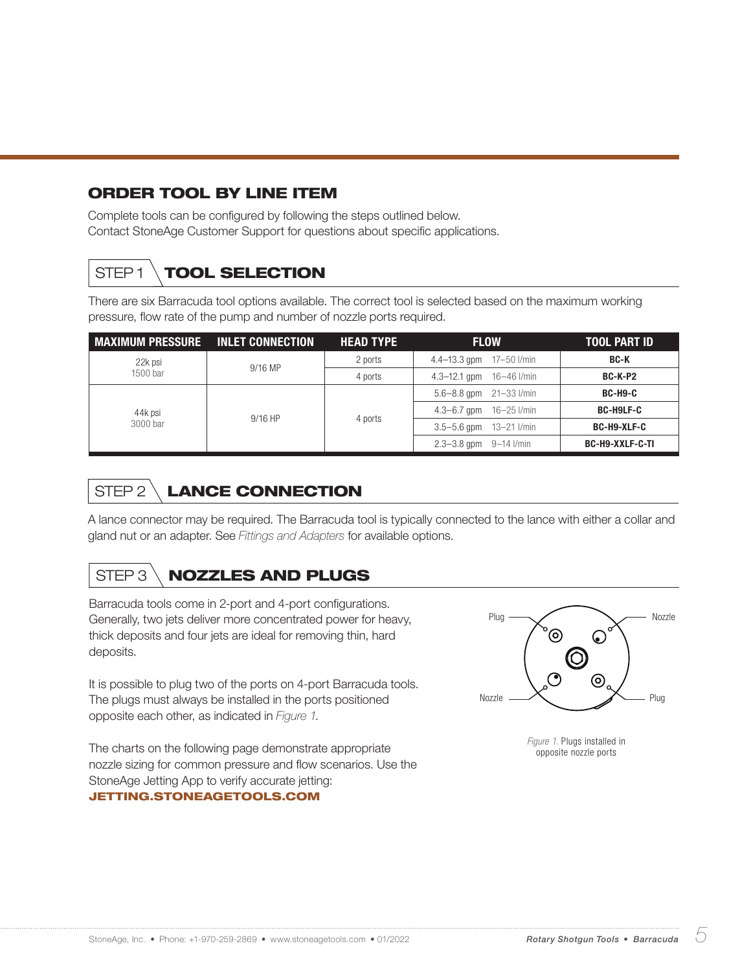### ORDER TOOL BY LINE ITEM

Complete tools can be configured by following the steps outlined below. Contact StoneAge Customer Support for questions about specific applications.

## STEP1 \ TOOL SELECTION

There are six Barracuda tool options available. The correct tool is selected based on the maximum working pressure, flow rate of the pump and number of nozzle ports required.

| MAXIMUM PRESSURE INLET CONNECTION |           | <b>HEAD TYPE</b> | <b>FLOW</b>                      | <b>TOOL PART ID</b> |
|-----------------------------------|-----------|------------------|----------------------------------|---------------------|
| 22k psi                           | $9/16$ MP | 2 ports          | $4.4 - 13.3$ gpm $17 - 50$ I/min | <b>BC-K</b>         |
| 1500 bar                          |           | 4 ports          | $4.3 - 12.1$ gpm $16 - 46$ l/min | <b>BC-K-P2</b>      |
| 44k psi<br>3000 bar               | $9/16$ HP | 4 ports          | $5.6 - 8.8$ gpm $21 - 33$ l/min  | <b>BC-H9-C</b>      |
|                                   |           |                  | $4.3 - 6.7$ gpm $16 - 25$ l/min  | <b>BC-H9LF-C</b>    |
|                                   |           |                  | $3.5 - 5.6$ gpm $13 - 21$ I/min  | <b>BC-H9-XLF-C</b>  |
|                                   |           |                  | $2.3 - 3.8$ gpm $9 - 14$ I/min   | BC-H9-XXLF-C-TI     |

## STEP 2 LANCE CONNECTION

A lance connector may be required. The Barracuda tool is typically connected to the lance with either a collar and gland nut or an adapter. See *Fittings and Adapters* for available options.

## STEP 3 \ **NOZZLES AND PLUGS**

Barracuda tools come in 2-port and 4-port configurations. Generally, two jets deliver more concentrated power for heavy, thick deposits and four jets are ideal for removing thin, hard deposits.

It is possible to plug two of the ports on 4-port Barracuda tools. The plugs must always be installed in the ports positioned opposite each other, as indicated in *Figure 1*.

The charts on the following page demonstrate appropriate nozzle sizing for common pressure and flow scenarios. Use the StoneAge Jetting App to verify accurate jetting: JETTING.STONEAGETOOLS.COM